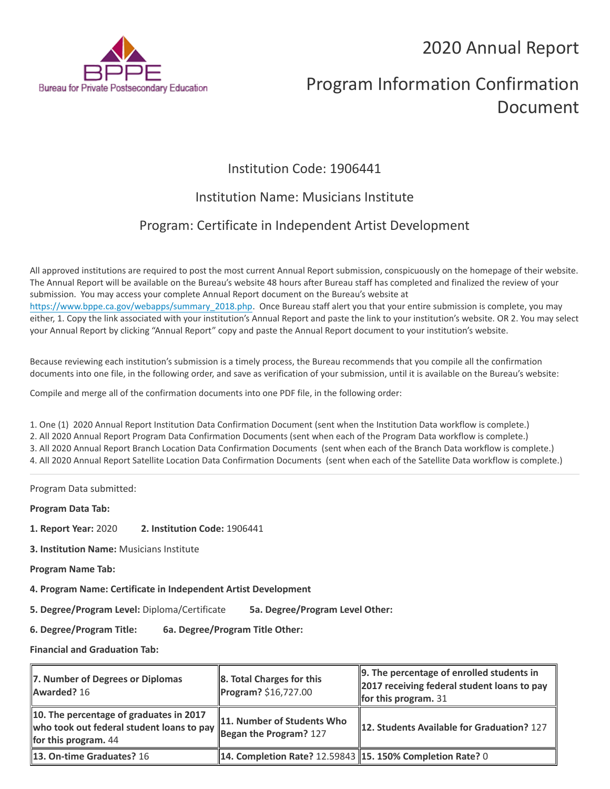## 2020 Annual Report



# Program Information Confirmation Document

## Institution Code: 1906441

### Institution Name: Musicians Institute

## Program: Certificate in Independent Artist Development

All approved institutions are required to post the most current Annual Report submission, conspicuously on the homepage of their website. The Annual Report will be available on the Bureau's website 48 hours after Bureau staff has completed and finalized the review of your submission. You may access your complete Annual Report document on the Bureau's website at [https://www.bppe.ca.gov/webapps/summary\\_2018.php.](https://www.bppe.ca.gov/webapps/summary_2018.php) Once Bureau staff alert you that your entire submission is complete, you may either, 1. Copy the link associated with your institution's Annual Report and paste the link to your institution's website. OR 2. You may select your Annual Report by clicking "Annual Report" copy and paste the Annual Report document to your institution's website.

Because reviewing each institution's submission is a timely process, the Bureau recommends that you compile all the confirmation documents into one file, in the following order, and save as verification of your submission, until it is available on the Bureau's website:

Compile and merge all of the confirmation documents into one PDF file, in the following order:

1. One (1) 2020 Annual Report Institution Data Confirmation Document (sent when the Institution Data workflow is complete.) 2. All 2020 Annual Report Program Data Confirmation Documents (sent when each of the Program Data workflow is complete.) 3. All 2020 Annual Report Branch Location Data Confirmation Documents (sent when each of the Branch Data workflow is complete.) 4. All 2020 Annual Report Satellite Location Data Confirmation Documents (sent when each of the Satellite Data workflow is complete.)

Program Data submitted:

**Program Data Tab:**

- **1. Report Year:** 2020 **2. Institution Code:** 1906441
- **3. Institution Name:** Musicians Institute
- **Program Name Tab:**
- **4. Program Name: Certificate in Independent Artist Development**

**5. Degree/Program Level:** Diploma/Certificate **5a. Degree/Program Level Other:**

**6. Degree/Program Title: 6a. Degree/Program Title Other:**

**Financial and Graduation Tab:**

| 7. Number of Degrees or Diplomas<br>Awarded? 16                                                                                       | $\ 8.$ Total Charges for this<br>Program? \$16,727.00       | 9. The percentage of enrolled students in<br>2017 receiving federal student loans to pay<br>for this program. $31$ |
|---------------------------------------------------------------------------------------------------------------------------------------|-------------------------------------------------------------|--------------------------------------------------------------------------------------------------------------------|
| 10. The percentage of graduates in 2017<br>who took out federal student loans to pay Began the Program? 127<br>for this program. $44$ | 11. Number of Students Who                                  | 12. Students Available for Graduation? 127                                                                         |
| <b>13. On-time Graduates? 16</b>                                                                                                      | 14. Completion Rate? 12.59843   15. 150% Completion Rate? 0 |                                                                                                                    |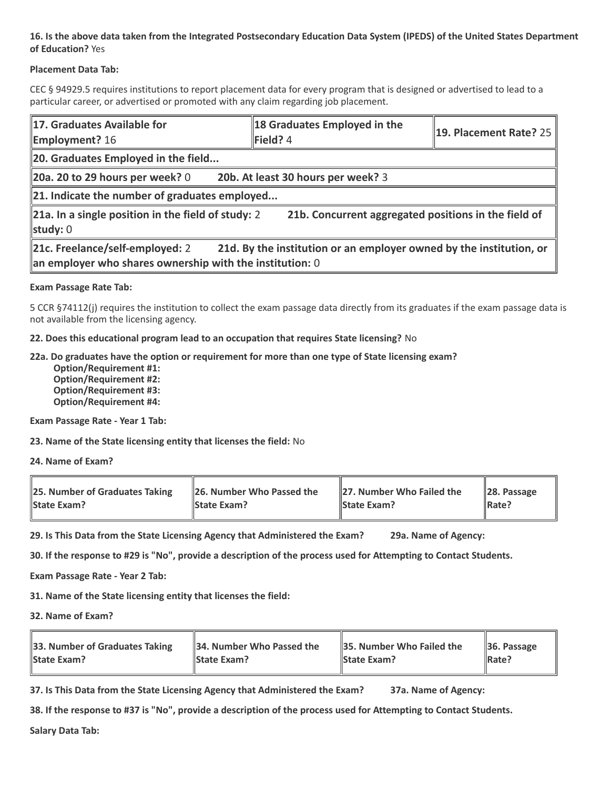#### **16. Is the above data taken from the Integrated Postsecondary Education Data System (IPEDS) of the United States Department of Education?** Yes

#### **Placement Data Tab:**

CEC § 94929.5 requires institutions to report placement data for every program that is designed or advertised to lead to a particular career, or advertised or promoted with any claim regarding job placement.

| 17. Graduates Available for<br><b>Employment?</b> 16                                                                                                                 | 18 Graduates Employed in the<br>Field? 4 | $\parallel$ 19. Placement Rate? 25 |  |  |
|----------------------------------------------------------------------------------------------------------------------------------------------------------------------|------------------------------------------|------------------------------------|--|--|
| 20. Graduates Employed in the field                                                                                                                                  |                                          |                                    |  |  |
| 20a. 20 to 29 hours per week? $0$                                                                                                                                    | 20b. At least 30 hours per week? 3       |                                    |  |  |
| $\ $ 21. Indicate the number of graduates employed                                                                                                                   |                                          |                                    |  |  |
| 21a. In a single position in the field of study: 2<br>21b. Concurrent aggregated positions in the field of<br>study: $0$                                             |                                          |                                    |  |  |
| 21d. By the institution or an employer owned by the institution, or<br>21c. Freelance/self-employed: 2<br>an employer who shares ownership with the institution: $0$ |                                          |                                    |  |  |

#### **Exam Passage Rate Tab:**

5 CCR §74112(j) requires the institution to collect the exam passage data directly from its graduates if the exam passage data is not available from the licensing agency.

**22. Does this educational program lead to an occupation that requires State licensing?** No

#### **22a. Do graduates have the option or requirement for more than one type of State licensing exam?**

 **Option/Requirement #1: Option/Requirement #2: Option/Requirement #3: Option/Requirement #4:**

**Exam Passage Rate - Year 1 Tab:**

**23. Name of the State licensing entity that licenses the field:** No

**24. Name of Exam?**

| 25. Number of Graduates Taking | 26. Number Who Passed the | 27. Number Who Failed the | $\ $ 28. Passage |
|--------------------------------|---------------------------|---------------------------|------------------|
| <b>State Exam?</b>             | <b>State Exam?</b>        | <b>State Exam?</b>        | Rate?            |

**29. Is This Data from the State Licensing Agency that Administered the Exam? 29a. Name of Agency:**

**30. If the response to #29 is "No", provide a description of the process used for Attempting to Contact Students.**

**Exam Passage Rate - Year 2 Tab:**

**31. Name of the State licensing entity that licenses the field:**

**32. Name of Exam?**

| 33. Number of Graduates Taking | 34. Number Who Passed the | $\parallel$ 35. Number Who Failed the | $\parallel$ 36. Passage |
|--------------------------------|---------------------------|---------------------------------------|-------------------------|
| <b>State Exam?</b>             | <b>State Exam?</b>        | <b>State Exam?</b>                    | <b>Rate?</b>            |

**37. Is This Data from the State Licensing Agency that Administered the Exam? 37a. Name of Agency:**

**38. If the response to #37 is "No", provide a description of the process used for Attempting to Contact Students.** 

**Salary Data Tab:**